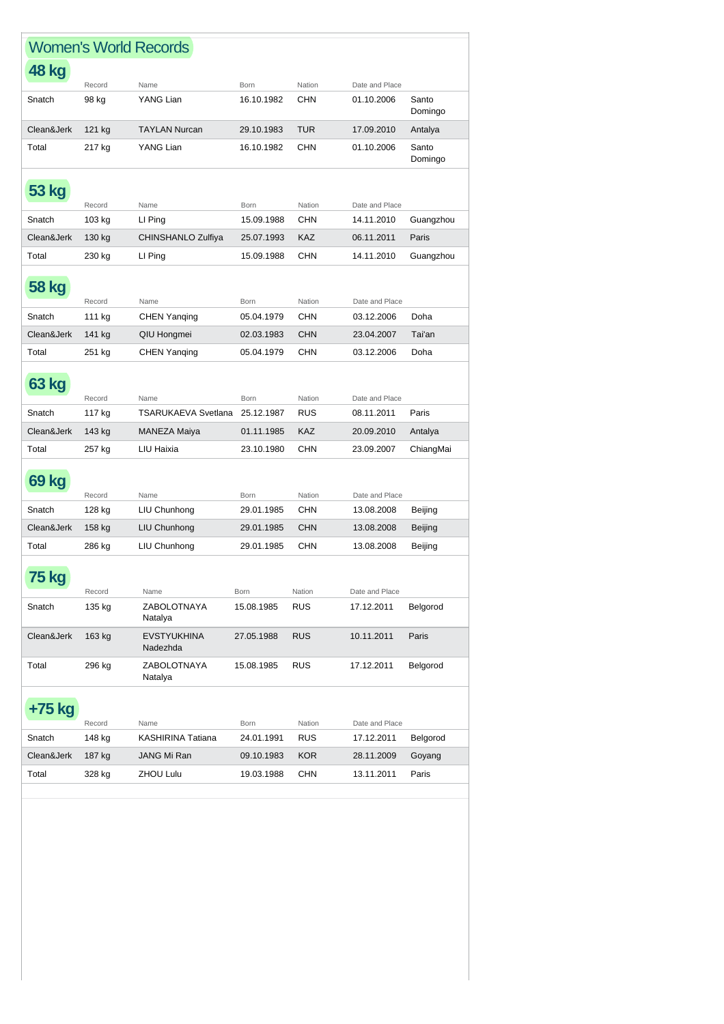| <b>Women's World Records</b> |                  |                                |                           |                      |                              |                  |
|------------------------------|------------------|--------------------------------|---------------------------|----------------------|------------------------------|------------------|
| <b>48 kg</b>                 |                  |                                |                           |                      |                              |                  |
| Snatch                       | Record<br>98 kg  | Name<br>YANG Lian              | <b>Born</b><br>16.10.1982 | Nation<br><b>CHN</b> | Date and Place<br>01.10.2006 | Santo            |
|                              |                  |                                |                           |                      |                              | Domingo          |
| Clean&Jerk                   | 121 kg           | <b>TAYLAN Nurcan</b>           | 29.10.1983                | <b>TUR</b>           | 17.09.2010                   | Antalya          |
| Total                        | 217 kg           | YANG Lian                      | 16.10.1982                | <b>CHN</b>           | 01.10.2006                   | Santo<br>Domingo |
| <b>53 kg</b>                 |                  |                                |                           |                      |                              |                  |
| Snatch                       | Record<br>103 kg | Name<br>LI Ping                | <b>Born</b><br>15.09.1988 | Nation<br><b>CHN</b> | Date and Place<br>14.11.2010 | Guangzhou        |
| Clean&Jerk                   |                  | CHINSHANLO Zulfiya             | 25.07.1993                | KAZ                  | 06.11.2011                   | Paris            |
|                              | 130 kg           |                                |                           |                      |                              |                  |
| Total                        | 230 kg           | LI Ping                        | 15.09.1988                | CHN                  | 14.11.2010                   | Guangzhou        |
| <b>58 kg</b>                 |                  |                                |                           |                      |                              |                  |
|                              | Record           | Name                           | Born                      | Nation               | Date and Place               |                  |
| Snatch                       | 111 kg           | <b>CHEN Yanging</b>            | 05.04.1979                | <b>CHN</b>           | 03.12.2006                   | Doha             |
| Clean&Jerk                   | 141 kg           | QIU Hongmei                    | 02.03.1983                | <b>CHN</b>           | 23.04.2007                   | Tai'an           |
| Total                        | 251 kg           | <b>CHEN Yanging</b>            | 05.04.1979                | CHN                  | 03.12.2006                   | Doha             |
| 63 kg                        | Record           | Name                           | <b>Born</b>               | Nation               | Date and Place               |                  |
| Snatch                       | 117 kg           | TSARUKAEVA Svetlana            | 25.12.1987                | <b>RUS</b>           | 08.11.2011                   | Paris            |
| Clean&Jerk                   | 143 kg           | <b>MANEZA Maiya</b>            | 01.11.1985                | <b>KAZ</b>           | 20.09.2010                   | Antalya          |
| Total                        | 257 kg           | LIU Haixia                     | 23.10.1980                | <b>CHN</b>           | 23.09.2007                   | ChiangMai        |
|                              |                  |                                |                           |                      |                              |                  |
| <b>69 kg</b>                 |                  |                                |                           |                      |                              |                  |
|                              | Record           | Name                           | Born                      | Nation               | Date and Place               |                  |
| Snatch                       | 128 kg           | LIU Chunhong                   | 29.01.1985                | CHN                  | 13.08.2008                   | Beijing          |
| Clean&Jerk                   | 158 kg           | LIU Chunhong                   | 29.01.1985                | <b>CHN</b>           | 13.08.2008                   | Beijing          |
| Total                        | 286 kg           | LIU Chunhong                   | 29.01.1985                | CHN                  | 13.08.2008                   | Beijing          |
|                              |                  |                                |                           |                      |                              |                  |
| 75 kg                        | Record           | Name                           | Born                      | Nation               | Date and Place               |                  |
| Snatch                       | 135 kg           | ZABOLOTNAYA<br>Natalya         | 15.08.1985                | <b>RUS</b>           | 17.12.2011                   | Belgorod         |
| Clean&Jerk                   | 163 kg           | <b>EVSTYUKHINA</b><br>Nadezhda | 27.05.1988                | <b>RUS</b>           | 10.11.2011                   | Paris            |
| Total                        | 296 kg           | ZABOLOTNAYA<br>Natalya         | 15.08.1985                | <b>RUS</b>           | 17.12.2011                   | Belgorod         |
| +75 kg                       |                  |                                |                           |                      |                              |                  |
|                              | Record           | Name                           | Born                      | Nation               | Date and Place               |                  |
| Snatch                       | 148 kg           | KASHIRINA Tatiana              | 24.01.1991                | <b>RUS</b>           | 17.12.2011                   | Belgorod         |
| Clean&Jerk                   | 187 kg           | JANG Mi Ran                    | 09.10.1983                | <b>KOR</b>           | 28.11.2009                   | Goyang           |
| Total                        | 328 kg           | ZHOU Lulu                      | 19.03.1988                | CHN                  | 13.11.2011                   | Paris            |
|                              |                  |                                |                           |                      |                              |                  |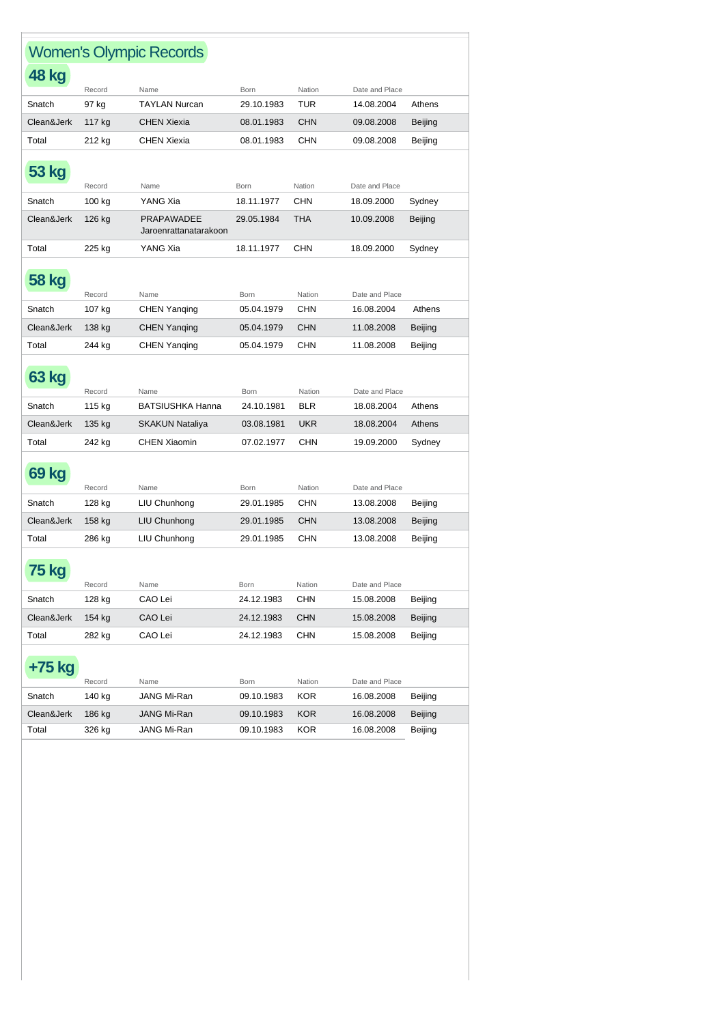| <b>Women's Olympic Records</b> |        |                                            |             |            |                |                |  |
|--------------------------------|--------|--------------------------------------------|-------------|------------|----------------|----------------|--|
| <b>48 kg</b>                   |        |                                            |             |            |                |                |  |
|                                | Record | Name                                       | <b>Born</b> | Nation     | Date and Place |                |  |
| Snatch                         | 97 kg  | <b>TAYLAN Nurcan</b>                       | 29.10.1983  | <b>TUR</b> | 14.08.2004     | Athens         |  |
| Clean&Jerk                     | 117 kg | <b>CHEN Xiexia</b>                         | 08.01.1983  | <b>CHN</b> | 09.08.2008     | <b>Beijing</b> |  |
| Total                          | 212 kg | <b>CHEN Xiexia</b>                         | 08.01.1983  | CHN        | 09.08.2008     | Beijing        |  |
| 53 kg                          | Record | Name                                       | <b>Born</b> | Nation     | Date and Place |                |  |
| Snatch                         | 100 kg | YANG Xia                                   | 18.11.1977  | <b>CHN</b> | 18.09.2000     | Sydney         |  |
| Clean&Jerk                     | 126 kg | <b>PRAPAWADEE</b><br>Jaroenrattanatarakoon | 29.05.1984  | <b>THA</b> | 10.09.2008     | Beijing        |  |
| Total                          | 225 kg | YANG Xia                                   | 18.11.1977  | <b>CHN</b> | 18.09.2000     | Sydney         |  |
| <b>58 kg</b>                   | Record | Name                                       | <b>Born</b> | Nation     | Date and Place |                |  |
| Snatch                         | 107 kg | <b>CHEN Yanqing</b>                        | 05.04.1979  | CHN        | 16.08.2004     | Athens         |  |
| Clean&Jerk                     | 138 kg | <b>CHEN Yanqing</b>                        | 05.04.1979  | <b>CHN</b> | 11.08.2008     | Beijing        |  |
| Total                          | 244 kg | <b>CHEN Yanging</b>                        | 05.04.1979  | CHN        | 11.08.2008     | Beijing        |  |
| 63 kg                          | Record | Name                                       | Born        | Nation     | Date and Place |                |  |
| Snatch                         | 115 kg | <b>BATSIUSHKA Hanna</b>                    | 24.10.1981  | <b>BLR</b> | 18.08.2004     | Athens         |  |
| Clean&Jerk                     | 135 kg | <b>SKAKUN Nataliya</b>                     | 03.08.1981  | <b>UKR</b> | 18.08.2004     | Athens         |  |
| Total                          | 242 kg | <b>CHEN Xiaomin</b>                        | 07.02.1977  | CHN        | 19.09.2000     | Sydney         |  |
| <b>69 kg</b>                   | Record | Name                                       | Born        | Nation     | Date and Place |                |  |
| Snatch                         | 128 kg | LIU Chunhong                               | 29.01.1985  | CHN        | 13.08.2008     | Beijing        |  |
| Clean&Jerk                     | 158 kg | LIU Chunhong                               | 29.01.1985  | <b>CHN</b> | 13.08.2008     | <b>Beijing</b> |  |
| Total                          | 286 kg | LIU Chunhong                               | 29.01.1985  | <b>CHN</b> | 13.08.2008     | Beijing        |  |
| <b>75 kg</b>                   | Record | Name                                       | Born        | Nation     | Date and Place |                |  |
| Snatch                         | 128 kg | CAO Lei                                    | 24.12.1983  | <b>CHN</b> | 15.08.2008     | Beijing        |  |
| Clean&Jerk                     | 154 kg | CAO Lei                                    | 24.12.1983  | <b>CHN</b> | 15.08.2008     | Beijing        |  |
| Total                          | 282 kg | CAO Lei                                    | 24.12.1983  | <b>CHN</b> | 15.08.2008     | Beijing        |  |
| +75 kg                         | Record | Name                                       | Born        | Nation     | Date and Place |                |  |
| Snatch                         | 140 kg | JANG Mi-Ran                                | 09.10.1983  | <b>KOR</b> | 16.08.2008     | Beijing        |  |
| Clean&Jerk                     | 186 kg | JANG Mi-Ran                                | 09.10.1983  | KOR        | 16.08.2008     | Beijing        |  |
| Total                          | 326 kg | JANG Mi-Ran                                | 09.10.1983  | KOR        | 16.08.2008     | Beijing        |  |
|                                |        |                                            |             |            |                |                |  |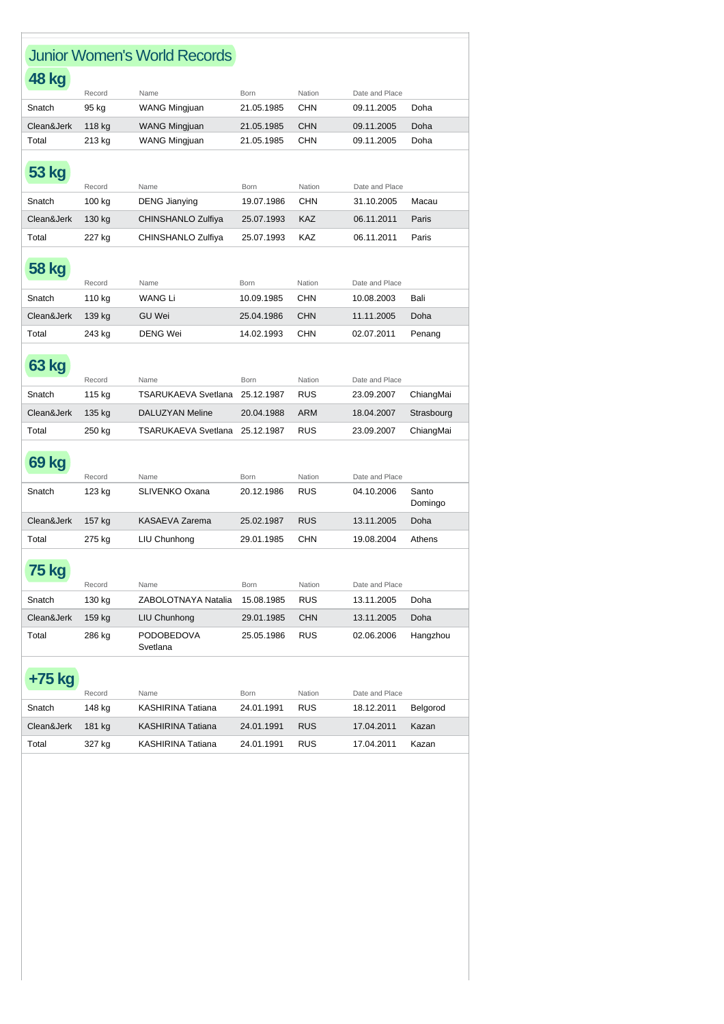|              |        | <b>Junior Women's World Records</b> |            |            |                |                  |
|--------------|--------|-------------------------------------|------------|------------|----------------|------------------|
| 48 kg        |        |                                     |            |            |                |                  |
|              | Record | Name                                | Born       | Nation     | Date and Place |                  |
| Snatch       | 95 kg  | WANG Mingjuan                       | 21.05.1985 | CHN        | 09.11.2005     | Doha             |
| Clean&Jerk   | 118 kg | <b>WANG Mingjuan</b>                | 21.05.1985 | <b>CHN</b> | 09.11.2005     | Doha             |
| Total        | 213 kg | <b>WANG Mingjuan</b>                | 21.05.1985 | CHN        | 09.11.2005     | Doha             |
| 53 kg        | Record | Name                                | Born       | Nation     | Date and Place |                  |
| Snatch       | 100 kg | <b>DENG Jianying</b>                | 19.07.1986 | CHN        | 31.10.2005     | Macau            |
| Clean&Jerk   | 130 kg | CHINSHANLO Zulfiya                  | 25.07.1993 | <b>KAZ</b> | 06.11.2011     | Paris            |
| Total        | 227 kg | CHINSHANLO Zulfiya                  | 25.07.1993 | KAZ        | 06.11.2011     | Paris            |
| 58 kg        | Record | Name                                | Born       | Nation     | Date and Place |                  |
| Snatch       | 110 kg | <b>WANG Li</b>                      | 10.09.1985 | <b>CHN</b> | 10.08.2003     | Bali             |
| Clean&Jerk   | 139 kg | <b>GU Wei</b>                       | 25.04.1986 | <b>CHN</b> | 11.11.2005     | Doha             |
| Total        | 243 kg | <b>DENG Wei</b>                     | 14.02.1993 | <b>CHN</b> | 02.07.2011     | Penang           |
| <b>63 kg</b> | Record | Name                                | Born       | Nation     | Date and Place |                  |
| Snatch       | 115 kg | <b>TSARUKAEVA Svetlana</b>          | 25.12.1987 | RUS        | 23.09.2007     | ChiangMai        |
| Clean&Jerk   | 135 kg | <b>DALUZYAN Meline</b>              | 20.04.1988 | <b>ARM</b> | 18.04.2007     | Strasbourg       |
| Total        | 250 kg | <b>TSARUKAEVA Svetlana</b>          | 25.12.1987 | <b>RUS</b> | 23.09.2007     | ChiangMai        |
| <b>69 kg</b> | Record | Name                                | Born       | Nation     | Date and Place |                  |
| Snatch       | 123 kg | SLIVENKO Oxana                      | 20.12.1986 | RUS        | 04.10.2006     | Santo<br>Domingo |
| Clean&Jerk   | 157 kg | KASAEVA Zarema                      | 25.02.1987 | <b>RUS</b> | 13.11.2005     | Doha             |
| Total        | 275 kg | LIU Chunhong                        | 29.01.1985 | CHN        | 19.08.2004     | Athens           |
| 75 kg        | Record | Name                                | Born       | Nation     | Date and Place |                  |
| Snatch       | 130 kg | ZABOLOTNAYA Natalia                 | 15.08.1985 | RUS        | 13.11.2005     | Doha             |
| Clean&Jerk   | 159 kg | LIU Chunhong                        | 29.01.1985 | <b>CHN</b> | 13.11.2005     | Doha             |
| Total        | 286 kg | <b>PODOBEDOVA</b><br>Svetlana       | 25.05.1986 | <b>RUS</b> | 02.06.2006     | Hangzhou         |
| +75 kg       | Record | Name                                | Born       | Nation     | Date and Place |                  |
| Snatch       | 148 kg | KASHIRINA Tatiana                   | 24.01.1991 | RUS        | 18.12.2011     | Belgorod         |
| Clean&Jerk   | 181 kg | KASHIRINA Tatiana                   | 24.01.1991 | RUS        | 17.04.2011     | Kazan            |
| Total        | 327 kg | KASHIRINA Tatiana                   | 24.01.1991 | RUS        | 17.04.2011     | Kazan            |
|              |        |                                     |            |            |                |                  |

Þ

Ĭ.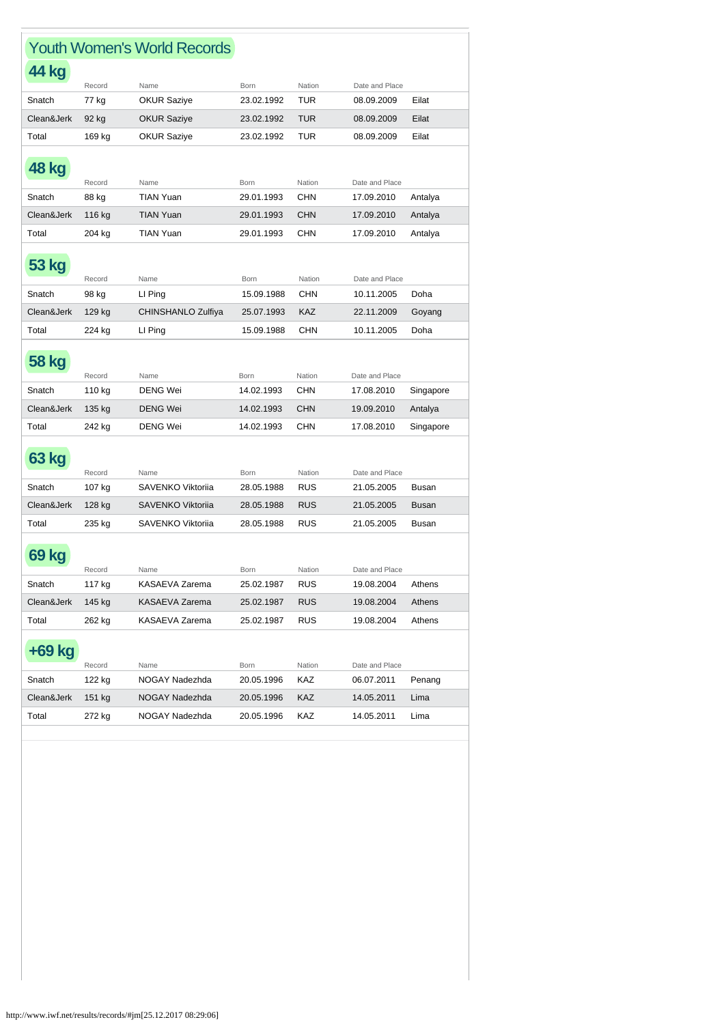|              |                  | <b>Youth Women's World Records</b> |                    |               |                              |              |
|--------------|------------------|------------------------------------|--------------------|---------------|------------------------------|--------------|
| <b>44 kg</b> |                  |                                    |                    |               |                              |              |
|              | Record           | Name                               | Born               | Nation        | Date and Place               |              |
| Snatch       | 77 kg            | <b>OKUR Saziye</b>                 | 23.02.1992         | TUR           | 08.09.2009                   | Eilat        |
| Clean&Jerk   | 92 kg            | <b>OKUR Saziye</b>                 | 23.02.1992         | TUR           | 08.09.2009                   | Eilat        |
| Total        | 169 kg           | <b>OKUR Saziye</b>                 | 23.02.1992         | TUR           | 08.09.2009                   | Eilat        |
| <b>48 kg</b> | Record           | Name                               | Born               | Nation        | Date and Place               |              |
| Snatch       | 88 kg            | <b>TIAN Yuan</b>                   | 29.01.1993         | <b>CHN</b>    | 17.09.2010                   | Antalya      |
| Clean&Jerk   | 116 kg           | <b>TIAN Yuan</b>                   | 29.01.1993         | <b>CHN</b>    | 17.09.2010                   | Antalya      |
| Total        | 204 kg           | <b>TIAN Yuan</b>                   | 29.01.1993         | <b>CHN</b>    | 17.09.2010                   | Antalya      |
| 53 kg        | Record           | Name                               | Born               | Nation        | Date and Place               |              |
| Snatch       | 98 kg            | LI Ping                            | 15.09.1988         | <b>CHN</b>    | 10.11.2005                   | Doha         |
| Clean&Jerk   | 129 kg           | CHINSHANLO Zulfiya                 | 25.07.1993         | KAZ           | 22.11.2009                   | Goyang       |
| Total        | 224 kg           | LI Ping                            | 15.09.1988         | CHN           | 10.11.2005                   | Doha         |
| <b>58 kg</b> |                  |                                    |                    |               |                              |              |
|              | Record           | Name                               | Born               | Nation        | Date and Place               |              |
| Snatch       | 110 kg           | <b>DENG Wei</b>                    | 14.02.1993         | <b>CHN</b>    | 17.08.2010                   | Singapore    |
| Clean&Jerk   | 135 kg           | <b>DENG Wei</b>                    | 14.02.1993         | <b>CHN</b>    | 19.09.2010                   | Antalya      |
| Total        | 242 kg           | <b>DENG Wei</b>                    | 14.02.1993         | <b>CHN</b>    | 17.08.2010                   | Singapore    |
| 63 kg        | Record           | Name                               | Born               | Nation        | Date and Place               |              |
| Snatch       | 107 kg           | SAVENKO Viktorija                  | 28.05.1988         | <b>RUS</b>    | 21.05.2005                   | Busan        |
| Clean&Jerk   | 128 kg           | <b>SAVENKO Viktoriia</b>           | 28.05.1988         | <b>RUS</b>    | 21.05.2005                   | <b>Busan</b> |
| Total        | 235 kg           | SAVENKO Viktorija                  | 28.05.1988         | <b>RUS</b>    | 21.05.2005                   | <b>Busan</b> |
| 69 kg        | Record           | Name                               | Born               | Nation        | Date and Place               |              |
| Snatch       | 117 kg           | KASAEVA Zarema                     | 25.02.1987         | RUS           | 19.08.2004                   | Athens       |
| Clean&Jerk   | 145 kg           | KASAEVA Zarema                     | 25.02.1987         | <b>RUS</b>    | 19.08.2004                   | Athens       |
| Total        | 262 kg           | KASAEVA Zarema                     | 25.02.1987         | <b>RUS</b>    | 19.08.2004                   | Athens       |
| +69 kg       |                  | Name                               |                    |               |                              |              |
| Snatch       | Record<br>122 kg | NOGAY Nadezhda                     | Born<br>20.05.1996 | Nation<br>KAZ | Date and Place<br>06.07.2011 | Penang       |
| Clean&Jerk   | 151 kg           | NOGAY Nadezhda                     | 20.05.1996         | KAZ           | 14.05.2011                   | Lima         |
| Total        | 272 kg           | NOGAY Nadezhda                     | 20.05.1996         | KAZ           | 14.05.2011                   | Lima         |
|              |                  |                                    |                    |               |                              |              |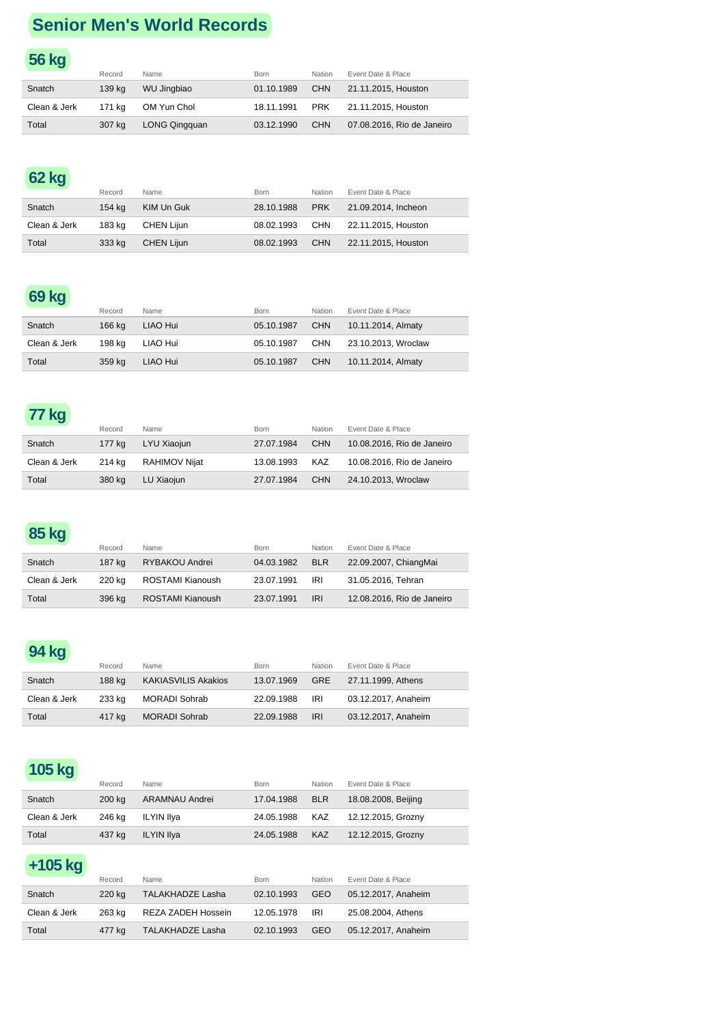# **Senior Men's World Records**

#### **56 kg** Record Name **Born** Born Nation Event Date & Place Snatch 139 kg WU Jingbiao 01.10.1989 CHN 21.11.2015, Houston Clean & Jerk 171 kg OM Yun Chol 18.11.1991 PRK 21.11.2015, Houston Total 307 kg LONG Qingquan 03.12.1990 CHN 07.08.2016, Rio de Janeiro

# **62 kg**

|              | Record | Name       | <b>Born</b> | <b>Nation</b> | Event Date & Place  |
|--------------|--------|------------|-------------|---------------|---------------------|
| Snatch       | 154 ka | KIM Un Guk | 28.10.1988  | <b>PRK</b>    | 21.09.2014, Incheon |
| Clean & Jerk | 183 ka | CHEN Liiun | 08.02.1993  | CHN           | 22.11.2015, Houston |
| Total        | 333 kg | CHEN Lijun | 08.02.1993  | <b>CHN</b>    | 22.11.2015, Houston |

# **69 kg**

|              | Record | Name     | Born       | Nation     | Event Date & Place  |
|--------------|--------|----------|------------|------------|---------------------|
| Snatch       | 166 ka | LIAO Hui | 05.10.1987 | <b>CHN</b> | 10.11.2014, Almaty  |
| Clean & Jerk | 198 ka | LIAO Hui | 05.10.1987 | CHN        | 23.10.2013. Wroclaw |
| Total        | 359 kg | LIAO Hui | 05.10.1987 | <b>CHN</b> | 10.11.2014, Almaty  |

### **77 kg**

|              | Record | Name          | <b>Born</b> | Nation     | Event Date & Place         |
|--------------|--------|---------------|-------------|------------|----------------------------|
| Snatch       | 177 ka | LYU Xiaojun   | 27.07.1984  | <b>CHN</b> | 10.08.2016, Rio de Janeiro |
| Clean & Jerk | 214 ka | RAHIMOV Niiat | 13.08.1993  | KAZ        | 10.08.2016, Rio de Janeiro |
| Total        | 380 ka | LU Xiaojun    | 27.07.1984  | <b>CHN</b> | 24.10.2013, Wroclaw        |

# **85 kg**

|              | Record | Name             | Born       | <b>Nation</b> | Event Date & Place         |
|--------------|--------|------------------|------------|---------------|----------------------------|
| Snatch       | 187 ka | RYBAKOU Andrei   | 04.03.1982 | <b>BLR</b>    | 22.09.2007, ChiangMai      |
| Clean & Jerk | 220 ka | ROSTAMI Kianoush | 23.07.1991 | IRI           | 31.05.2016. Tehran         |
| Total        | 396 ka | ROSTAMI Kianoush | 23.07.1991 | <b>IRI</b>    | 12.08.2016, Rio de Janeiro |

#### **94 kg**

|              | Record | Name                | Born       | Nation     | Event Date & Place     |
|--------------|--------|---------------------|------------|------------|------------------------|
| Snatch       | 188 ka | KAKIASVILIS Akakios | 13.07.1969 |            | GRE 27.11.1999, Athens |
| Clean & Jerk | 233 ka | MORADI Sohrab       | 22.09.1988 | IRI        | 03.12.2017. Anaheim    |
| Total        | 417 ka | MORADI Sohrab       | 22.09.1988 | <b>IRI</b> | 03.12.2017. Anaheim    |

# **105 kg**

|              | Record | Name           | Born           | Nation     | Event Date & Place  |
|--------------|--------|----------------|----------------|------------|---------------------|
| Snatch       | 200 ka | ARAMNAU Andrei | 17.04.1988     | <b>BLR</b> | 18.08.2008, Beijing |
| Clean & Jerk | 246 ka | ILYIN Ilva     | 24.05.1988 KAZ |            | 12.12.2015, Grozny  |
| Total        | 437 kg | ILYIN Ilya     | 24.05.1988     | KAZ        | 12.12.2015, Grozny  |

# **+105 kg**

|              | Record | Name               | <b>Born</b> | <b>Nation</b> | Event Date & Place  |
|--------------|--------|--------------------|-------------|---------------|---------------------|
| Snatch       | 220 ka | TALAKHADZE Lasha   | 02.10.1993  | GEO           | 05.12.2017. Anaheim |
| Clean & Jerk | 263 ka | REZA ZADEH Hossein | 12.05.1978  | IRI           | 25.08.2004, Athens  |
| Total        | 477 ka | TALAKHADZE Lasha   | 02.10.1993  | <b>GEO</b>    | 05.12.2017, Anaheim |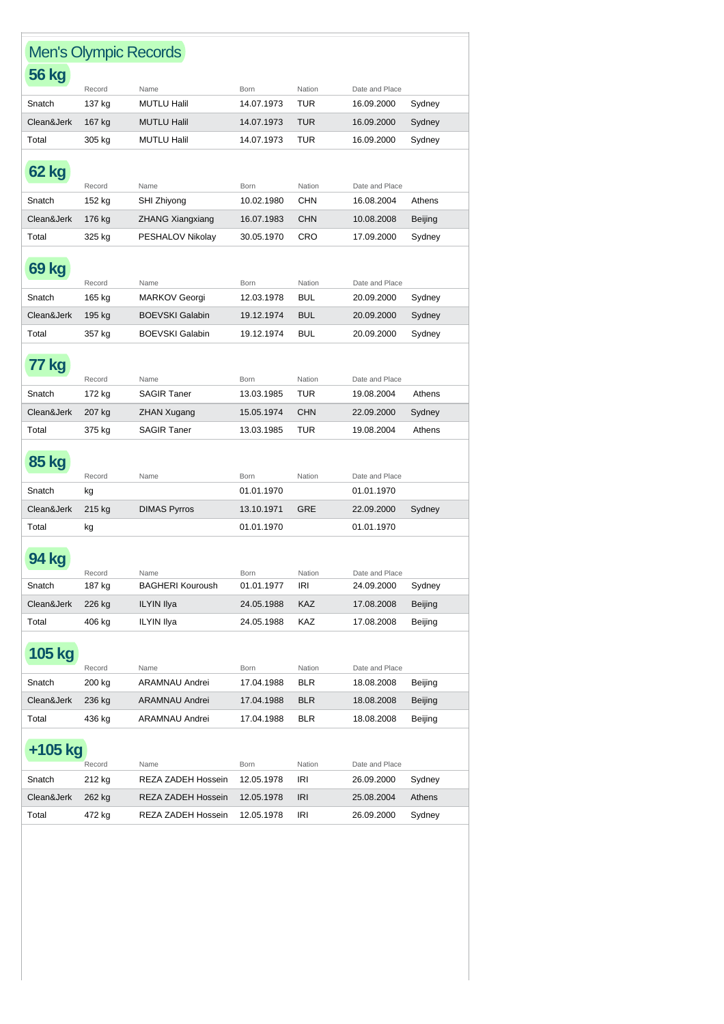| <b>Men's Olympic Records</b> |                  |                            |                           |                      |                              |         |
|------------------------------|------------------|----------------------------|---------------------------|----------------------|------------------------------|---------|
| <b>56 kg</b>                 |                  |                            |                           |                      |                              |         |
| Snatch                       | Record<br>137 kg | Name<br><b>MUTLU Halil</b> | <b>Born</b><br>14.07.1973 | Nation<br><b>TUR</b> | Date and Place<br>16.09.2000 | Sydney  |
|                              |                  |                            |                           |                      |                              |         |
| Clean&Jerk                   | 167 kg           | <b>MUTLU Halil</b>         | 14.07.1973                | <b>TUR</b>           | 16.09.2000                   | Sydney  |
| Total                        | 305 kg           | <b>MUTLU Halil</b>         | 14.07.1973                | <b>TUR</b>           | 16.09.2000                   | Sydney  |
| 62 kg                        | Record           | Name                       | Born                      | Nation               | Date and Place               |         |
| Snatch                       | 152 kg           | SHI Zhiyong                | 10.02.1980                | CHN                  | 16.08.2004                   | Athens  |
| Clean&Jerk                   | 176 kg           | ZHANG Xiangxiang           | 16.07.1983                | <b>CHN</b>           | 10.08.2008                   | Beijing |
| Total                        | 325 kg           | PESHALOV Nikolay           | 30.05.1970                | CRO                  | 17.09.2000                   | Sydney  |
|                              |                  |                            |                           |                      |                              |         |
| 69 kg                        | Record           | Name                       | Born                      | Nation               | Date and Place               |         |
| Snatch                       | 165 kg           | <b>MARKOV Georgi</b>       | 12.03.1978                | BUL                  | 20.09.2000                   | Sydney  |
| Clean&Jerk                   | 195 kg           | <b>BOEVSKI Galabin</b>     | 19.12.1974                | <b>BUL</b>           | 20.09.2000                   | Sydney  |
| Total                        |                  | <b>BOEVSKI Galabin</b>     |                           |                      | 20.09.2000                   |         |
|                              | 357 kg           |                            | 19.12.1974                | BUL                  |                              | Sydney  |
| 77 kg                        |                  |                            |                           |                      |                              |         |
| Snatch                       | Record           | Name<br><b>SAGIR Taner</b> | <b>Born</b><br>13.03.1985 | Nation<br>TUR        | Date and Place<br>19.08.2004 | Athens  |
|                              | 172 kg           |                            |                           |                      |                              |         |
| Clean&Jerk                   | 207 kg           | <b>ZHAN Xugang</b>         | 15.05.1974                | <b>CHN</b>           | 22.09.2000                   | Sydney  |
| Total                        | 375 kg           | <b>SAGIR Taner</b>         | 13.03.1985                | TUR                  | 19.08.2004                   | Athens  |
| <b>85 kg</b>                 |                  |                            |                           |                      |                              |         |
| Snatch                       | Record<br>kg     | Name                       | <b>Born</b><br>01.01.1970 | Nation               | Date and Place<br>01.01.1970 |         |
| Clean&Jerk                   |                  |                            | 13.10.1971                | GRE                  |                              |         |
|                              | 215 kg           | <b>DIMAS Pyrros</b>        |                           |                      | 22.09.2000                   | Sydney  |
| Total                        | kg               |                            | 01.01.1970                |                      | 01.01.1970                   |         |
|                              | Record           | Name                       | Born                      | Nation               | Date and Place               |         |
| Snatch                       | 187 kg           | <b>BAGHERI Kouroush</b>    | 01.01.1977                | <b>IRI</b>           | 24.09.2000                   | Sydney  |
| Clean&Jerk                   | 226 kg           | <b>ILYIN Ilya</b>          | 24.05.1988                | KAZ                  | 17.08.2008                   | Beijing |
| Total                        | 406 kg           | <b>ILYIN Ilya</b>          | 24.05.1988                | KAZ                  | 17.08.2008                   | Beijing |
|                              |                  |                            |                           |                      |                              |         |
| <b>105 kg</b>                | Record           | Name                       | Born                      | Nation               | Date and Place               |         |
| Snatch                       | 200 kg           | <b>ARAMNAU Andrei</b>      | 17.04.1988                | BLR                  | 18.08.2008                   | Beijing |
| Clean&Jerk                   | 236 kg           | ARAMNAU Andrei             | 17.04.1988                | <b>BLR</b>           | 18.08.2008                   | Beijing |
| Total                        | 436 kg           | ARAMNAU Andrei             | 17.04.1988                | <b>BLR</b>           | 18.08.2008                   | Beijing |
|                              |                  |                            |                           |                      |                              |         |
| +105 kg                      | Record           | Name                       | Born                      | Nation               | Date and Place               |         |
| Snatch                       | 212 kg           | REZA ZADEH Hossein         | 12.05.1978                | <b>IRI</b>           | 26.09.2000                   | Sydney  |
| Clean&Jerk                   | 262 kg           | REZA ZADEH Hossein         | 12.05.1978                | <b>IRI</b>           | 25.08.2004                   | Athens  |
| Total                        | 472 kg           | REZA ZADEH Hossein         | 12.05.1978                | IRI                  | 26.09.2000                   | Sydney  |
|                              |                  |                            |                           |                      |                              |         |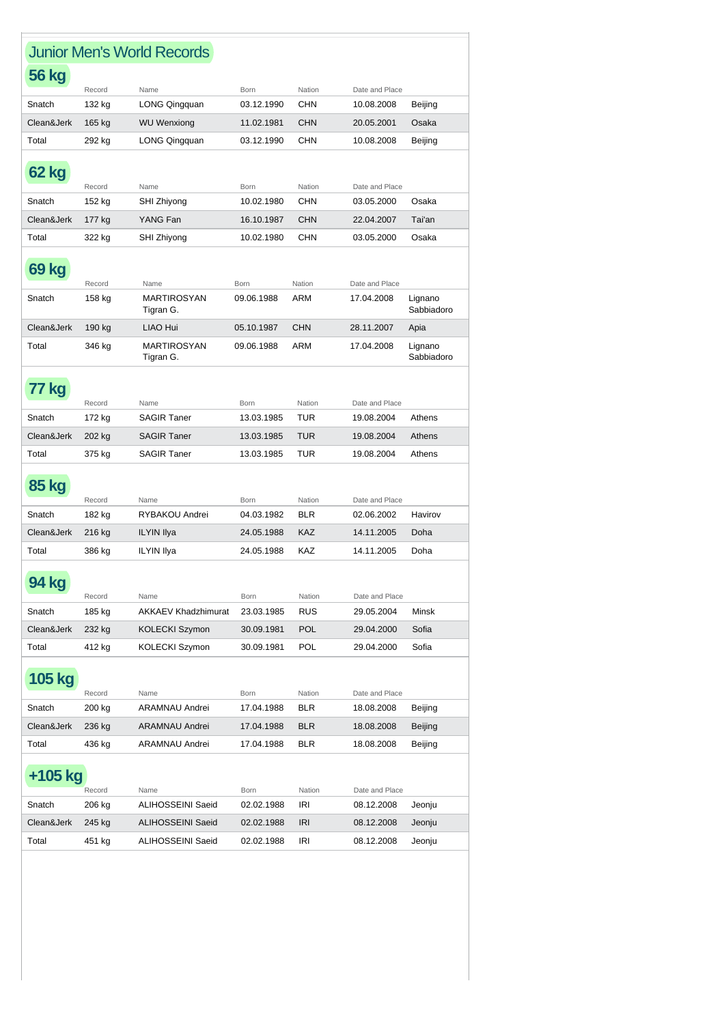|              |        | <b>Junior Men's World Records</b> |                           |               |                              |                       |
|--------------|--------|-----------------------------------|---------------------------|---------------|------------------------------|-----------------------|
| 56 kg        |        |                                   |                           |               |                              |                       |
| Snatch       | Record | Name<br>LONG Qingquan             | <b>Born</b><br>03.12.1990 | Nation<br>CHN | Date and Place<br>10.08.2008 | Beijing               |
|              | 132 kg |                                   |                           |               |                              |                       |
| Clean&Jerk   | 165 kg | <b>WU Wenxiong</b>                | 11.02.1981                | <b>CHN</b>    | 20.05.2001                   | Osaka                 |
| Total        | 292 kg | LONG Qingquan                     | 03.12.1990                | CHN           | 10.08.2008                   | Beijing               |
| 62 kg        | Record | Name                              | <b>Born</b>               | Nation        | Date and Place               |                       |
| Snatch       | 152 kg | SHI Zhiyong                       | 10.02.1980                | <b>CHN</b>    | 03.05.2000                   | Osaka                 |
| Clean&Jerk   | 177 kg | YANG Fan                          | 16.10.1987                | <b>CHN</b>    | 22.04.2007                   | Tai'an                |
| Total        | 322 kg | SHI Zhiyong                       | 10.02.1980                | CHN           | 03.05.2000                   | Osaka                 |
|              |        |                                   |                           |               |                              |                       |
| 69 kg        |        |                                   |                           |               |                              |                       |
|              | Record | Name                              | Born                      | Nation        | Date and Place               |                       |
| Snatch       | 158 kg | MARTIROSYAN<br>Tigran G.          | 09.06.1988                | ARM           | 17.04.2008                   | Lignano<br>Sabbiadoro |
| Clean&Jerk   | 190 kg | LIAO Hui                          | 05.10.1987                | <b>CHN</b>    | 28.11.2007                   | Apia                  |
| Total        | 346 kg | <b>MARTIROSYAN</b>                | 09.06.1988                | ARM           | 17.04.2008                   | Lignano               |
|              |        | Tigran G.                         |                           |               |                              | Sabbiadoro            |
|              |        |                                   |                           |               |                              |                       |
| 77 kg        | Record | Name                              | <b>Born</b>               | Nation        | Date and Place               |                       |
| Snatch       | 172 kg | <b>SAGIR Taner</b>                | 13.03.1985                | TUR           | 19.08.2004                   | Athens                |
| Clean&Jerk   | 202 kg | <b>SAGIR Taner</b>                | 13.03.1985                | <b>TUR</b>    | 19.08.2004                   | Athens                |
| Total        | 375 kg | <b>SAGIR Taner</b>                | 13.03.1985                | TUR           | 19.08.2004                   | Athens                |
|              |        |                                   |                           |               |                              |                       |
| <b>85 kg</b> | Record | Name                              | Born                      | Nation        | Date and Place               |                       |
| Snatch       | 182 kg | RYBAKOU Andrei                    | 04.03.1982                | <b>BLR</b>    | 02.06.2002                   | Havirov               |
| Clean&Jerk   | 216 kg | <b>ILYIN Ilya</b>                 | 24.05.1988                | <b>KAZ</b>    | 14.11.2005                   | Doha                  |
| Total        |        |                                   |                           | <b>KAZ</b>    |                              |                       |
|              | 386 kg | <b>ILYIN Ilya</b>                 | 24.05.1988                |               | 14.11.2005                   | Doha                  |
| 94 kg        | Record | Name                              | Born                      | Nation        | Date and Place               |                       |
| Snatch       | 185 kg | <b>AKKAEV Khadzhimurat</b>        | 23.03.1985                | RUS           | 29.05.2004                   | Minsk                 |
| Clean&Jerk   | 232 kg | KOLECKI Szymon                    | 30.09.1981                | <b>POL</b>    | 29.04.2000                   | Sofia                 |
| Total        | 412 kg | KOLECKI Szymon                    | 30.09.1981                | POL           | 29.04.2000                   | Sofia                 |
|              |        |                                   |                           |               |                              |                       |
| 105 kg       | Record | Name                              | Born                      | Nation        | Date and Place               |                       |
| Snatch       | 200 kg | ARAMNAU Andrei                    | 17.04.1988                | <b>BLR</b>    | 18.08.2008                   | Beijing               |
| Clean&Jerk   | 236 kg | <b>ARAMNAU Andrei</b>             | 17.04.1988                | <b>BLR</b>    | 18.08.2008                   | Beijing               |
| Total        | 436 kg | ARAMNAU Andrei                    | 17.04.1988                | <b>BLR</b>    | 18.08.2008                   | Beijing               |
|              |        |                                   |                           |               |                              |                       |
| +105 kg      | Record | Name                              | Born                      | Nation        | Date and Place               |                       |
| Snatch       | 206 kg | <b>ALIHOSSEINI Saeid</b>          | 02.02.1988                | IRI           | 08.12.2008                   | Jeonju                |
|              |        |                                   |                           |               |                              |                       |
| Clean&Jerk   | 245 kg | <b>ALIHOSSEINI Saeid</b>          | 02.02.1988                | <b>IRI</b>    | 08.12.2008                   | Jeonju                |
| Total        | 451 kg | <b>ALIHOSSEINI Saeid</b>          | 02.02.1988                | IRI           | 08.12.2008                   | Jeonju                |